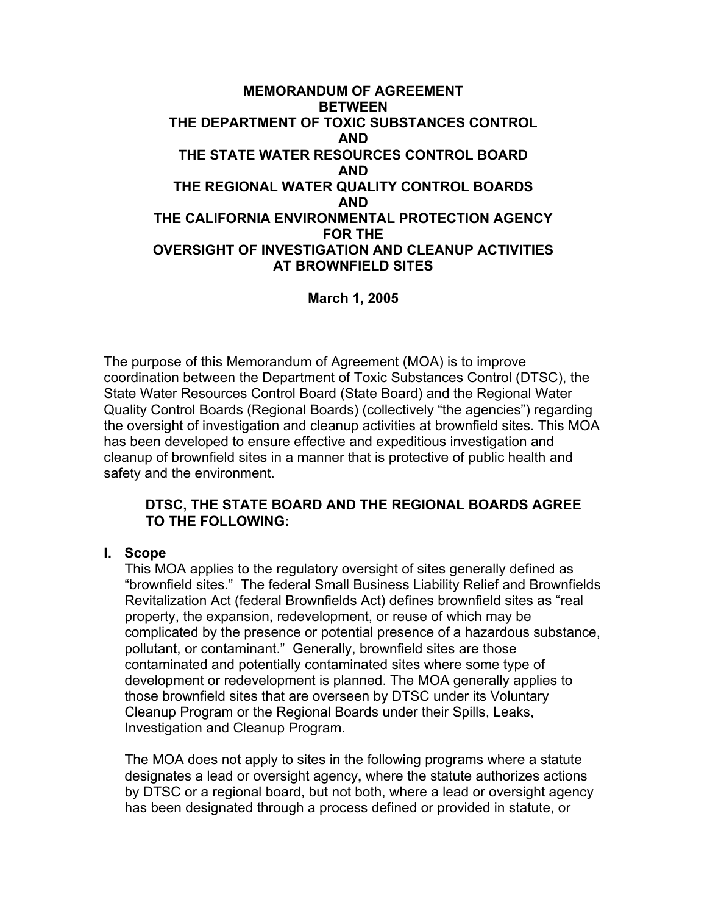### **MEMORANDUM OF AGREEMENT BETWEEN THE DEPARTMENT OF TOXIC SUBSTANCES CONTROL AND THE STATE WATER RESOURCES CONTROL BOARD AND THE REGIONAL WATER QUALITY CONTROL BOARDS AND THE CALIFORNIA ENVIRONMENTAL PROTECTION AGENCY FOR THE OVERSIGHT OF INVESTIGATION AND CLEANUP ACTIVITIES AT BROWNFIELD SITES**

**March 1, 2005** 

The purpose of this Memorandum of Agreement (MOA) is to improve coordination between the Department of Toxic Substances Control (DTSC), the State Water Resources Control Board (State Board) and the Regional Water Quality Control Boards (Regional Boards) (collectively "the agencies") regarding the oversight of investigation and cleanup activities at brownfield sites. This MOA has been developed to ensure effective and expeditious investigation and cleanup of brownfield sites in a manner that is protective of public health and safety and the environment.

### **DTSC, THE STATE BOARD AND THE REGIONAL BOARDS AGREE TO THE FOLLOWING:**

### **I. Scope**

This MOA applies to the regulatory oversight of sites generally defined as "brownfield sites." The federal Small Business Liability Relief and Brownfields Revitalization Act (federal Brownfields Act) defines brownfield sites as "real property, the expansion, redevelopment, or reuse of which may be complicated by the presence or potential presence of a hazardous substance, pollutant, or contaminant." Generally, brownfield sites are those contaminated and potentially contaminated sites where some type of development or redevelopment is planned. The MOA generally applies to those brownfield sites that are overseen by DTSC under its Voluntary Cleanup Program or the Regional Boards under their Spills, Leaks, Investigation and Cleanup Program.

The MOA does not apply to sites in the following programs where a statute designates a lead or oversight agency**,** where the statute authorizes actions by DTSC or a regional board, but not both, where a lead or oversight agency has been designated through a process defined or provided in statute, or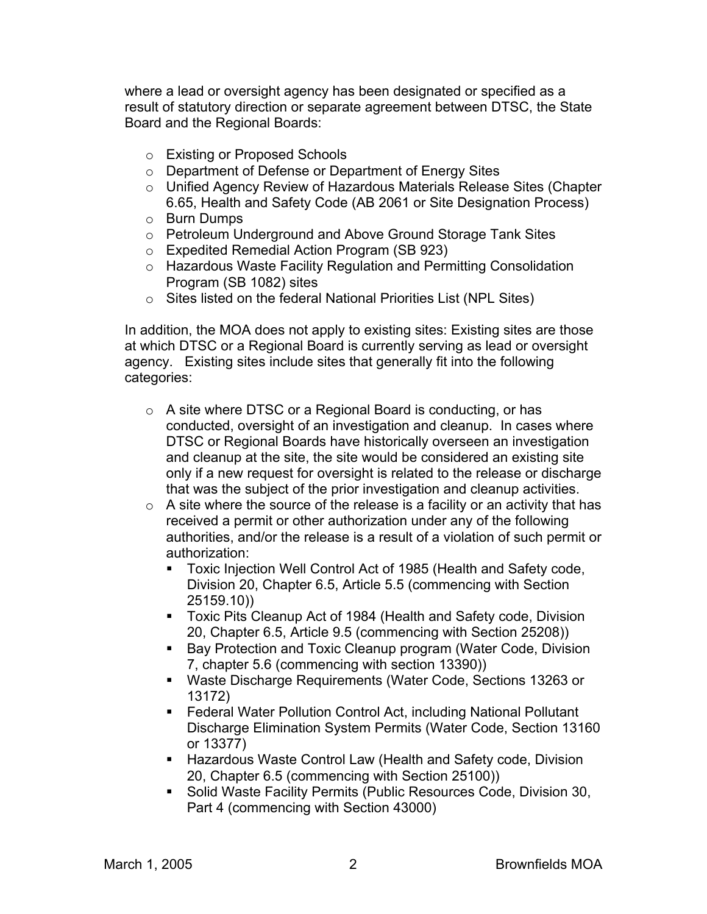where a lead or oversight agency has been designated or specified as a result of statutory direction or separate agreement between DTSC, the State Board and the Regional Boards:

- o Existing or Proposed Schools
- o Department of Defense or Department of Energy Sites
- o Unified Agency Review of Hazardous Materials Release Sites (Chapter 6.65, Health and Safety Code (AB 2061 or Site Designation Process)
- o Burn Dumps
- o Petroleum Underground and Above Ground Storage Tank Sites
- o Expedited Remedial Action Program (SB 923)
- o Hazardous Waste Facility Regulation and Permitting Consolidation Program (SB 1082) sites
- o Sites listed on the federal National Priorities List (NPL Sites)

In addition, the MOA does not apply to existing sites: Existing sites are those at which DTSC or a Regional Board is currently serving as lead or oversight agency. Existing sites include sites that generally fit into the following categories:

- o A site where DTSC or a Regional Board is conducting, or has conducted, oversight of an investigation and cleanup. In cases where DTSC or Regional Boards have historically overseen an investigation and cleanup at the site, the site would be considered an existing site only if a new request for oversight is related to the release or discharge that was the subject of the prior investigation and cleanup activities.
- $\circ$  A site where the source of the release is a facility or an activity that has received a permit or other authorization under any of the following authorities, and/or the release is a result of a violation of such permit or authorization:
	- Toxic Injection Well Control Act of 1985 (Health and Safety code, Division 20, Chapter 6.5, Article 5.5 (commencing with Section 25159.10))
	- Toxic Pits Cleanup Act of 1984 (Health and Safety code, Division 20, Chapter 6.5, Article 9.5 (commencing with Section 25208))
	- **Bay Protection and Toxic Cleanup program (Water Code, Division** 7, chapter 5.6 (commencing with section 13390))
	- Waste Discharge Requirements (Water Code, Sections 13263 or 13172)
	- Federal Water Pollution Control Act, including National Pollutant Discharge Elimination System Permits (Water Code, Section 13160 or 13377)
	- Hazardous Waste Control Law (Health and Safety code, Division 20, Chapter 6.5 (commencing with Section 25100))
	- Solid Waste Facility Permits (Public Resources Code, Division 30, Part 4 (commencing with Section 43000)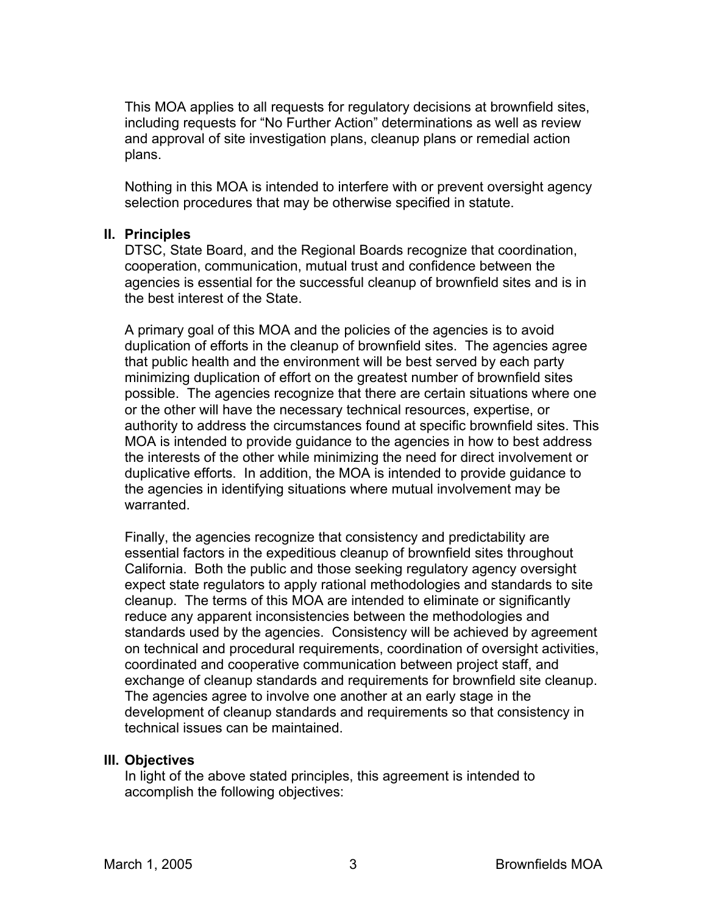This MOA applies to all requests for regulatory decisions at brownfield sites, including requests for "No Further Action" determinations as well as review and approval of site investigation plans, cleanup plans or remedial action plans.

Nothing in this MOA is intended to interfere with or prevent oversight agency selection procedures that may be otherwise specified in statute.

### **II. Principles**

DTSC, State Board, and the Regional Boards recognize that coordination, cooperation, communication, mutual trust and confidence between the agencies is essential for the successful cleanup of brownfield sites and is in the best interest of the State.

A primary goal of this MOA and the policies of the agencies is to avoid duplication of efforts in the cleanup of brownfield sites. The agencies agree that public health and the environment will be best served by each party minimizing duplication of effort on the greatest number of brownfield sites possible. The agencies recognize that there are certain situations where one or the other will have the necessary technical resources, expertise, or authority to address the circumstances found at specific brownfield sites. This MOA is intended to provide guidance to the agencies in how to best address the interests of the other while minimizing the need for direct involvement or duplicative efforts. In addition, the MOA is intended to provide guidance to the agencies in identifying situations where mutual involvement may be warranted.

Finally, the agencies recognize that consistency and predictability are essential factors in the expeditious cleanup of brownfield sites throughout California. Both the public and those seeking regulatory agency oversight expect state regulators to apply rational methodologies and standards to site cleanup. The terms of this MOA are intended to eliminate or significantly reduce any apparent inconsistencies between the methodologies and standards used by the agencies. Consistency will be achieved by agreement on technical and procedural requirements, coordination of oversight activities, coordinated and cooperative communication between project staff, and exchange of cleanup standards and requirements for brownfield site cleanup. The agencies agree to involve one another at an early stage in the development of cleanup standards and requirements so that consistency in technical issues can be maintained.

### **III. Objectives**

In light of the above stated principles, this agreement is intended to accomplish the following objectives: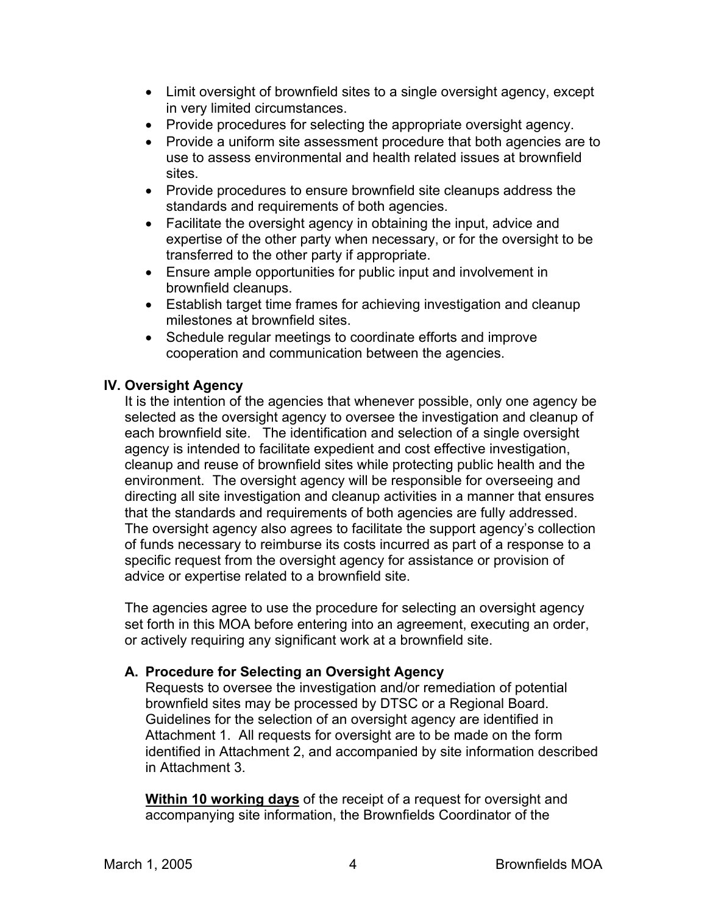- Limit oversight of brownfield sites to a single oversight agency, except in very limited circumstances.
- Provide procedures for selecting the appropriate oversight agency.
- Provide a uniform site assessment procedure that both agencies are to use to assess environmental and health related issues at brownfield sites.
- Provide procedures to ensure brownfield site cleanups address the standards and requirements of both agencies.
- Facilitate the oversight agency in obtaining the input, advice and expertise of the other party when necessary, or for the oversight to be transferred to the other party if appropriate.
- Ensure ample opportunities for public input and involvement in brownfield cleanups.
- Establish target time frames for achieving investigation and cleanup milestones at brownfield sites.
- Schedule regular meetings to coordinate efforts and improve cooperation and communication between the agencies.

### **IV. Oversight Agency**

It is the intention of the agencies that whenever possible, only one agency be selected as the oversight agency to oversee the investigation and cleanup of each brownfield site. The identification and selection of a single oversight agency is intended to facilitate expedient and cost effective investigation, cleanup and reuse of brownfield sites while protecting public health and the environment. The oversight agency will be responsible for overseeing and directing all site investigation and cleanup activities in a manner that ensures that the standards and requirements of both agencies are fully addressed. The oversight agency also agrees to facilitate the support agency's collection of funds necessary to reimburse its costs incurred as part of a response to a specific request from the oversight agency for assistance or provision of advice or expertise related to a brownfield site.

The agencies agree to use the procedure for selecting an oversight agency set forth in this MOA before entering into an agreement, executing an order, or actively requiring any significant work at a brownfield site.

### **A. Procedure for Selecting an Oversight Agency**

Requests to oversee the investigation and/or remediation of potential brownfield sites may be processed by DTSC or a Regional Board. Guidelines for the selection of an oversight agency are identified in Attachment 1. All requests for oversight are to be made on the form identified in Attachment 2, and accompanied by site information described in Attachment 3.

**Within 10 working days** of the receipt of a request for oversight and accompanying site information, the Brownfields Coordinator of the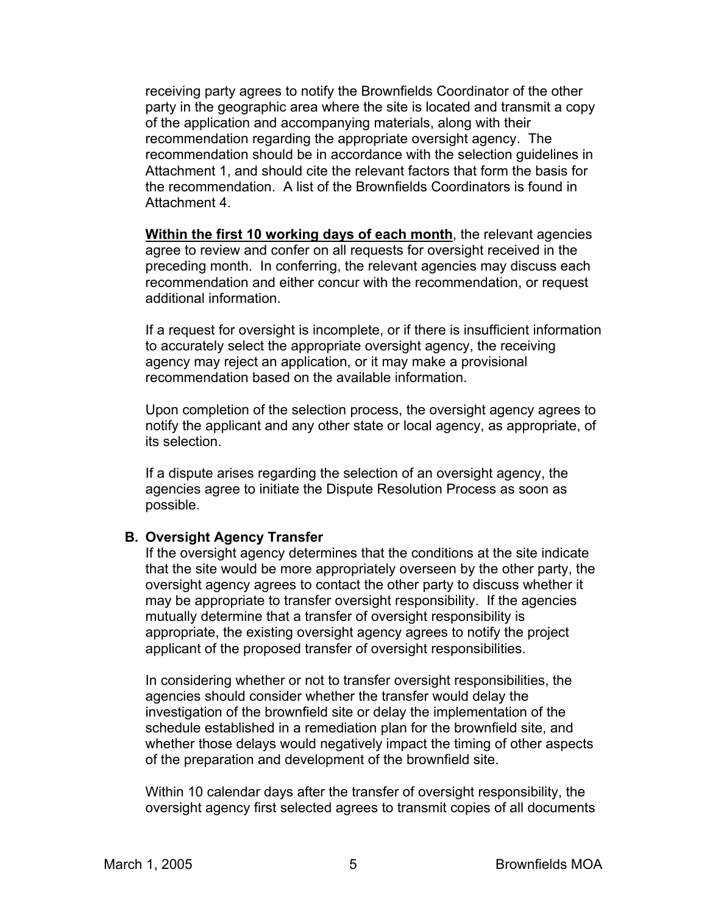receiving party agrees to notify the Brownfields Coordinator of the other party in the geographic area where the site is located and transmit a copy of the application and accompanying materials, along with their recommendation regarding the appropriate oversight agency. The recommendation should be in accordance with the selection guidelines in Attachment 1, and should cite the relevant factors that form the basis for the recommendation. A list of the Brownfields Coordinators is found in Attachment 4.

**Within the first 10 working days of each month**, the relevant agencies agree to review and confer on all requests for oversight received in the preceding month. In conferring, the relevant agencies may discuss each recommendation and either concur with the recommendation, or request additional information.

If a request for oversight is incomplete, or if there is insufficient information to accurately select the appropriate oversight agency, the receiving agency may reject an application, or it may make a provisional recommendation based on the available information.

Upon completion of the selection process, the oversight agency agrees to notify the applicant and any other state or local agency, as appropriate, of its selection.

If a dispute arises regarding the selection of an oversight agency, the agencies agree to initiate the Dispute Resolution Process as soon as possible.

### **B. Oversight Agency Transfer**

If the oversight agency determines that the conditions at the site indicate that the site would be more appropriately overseen by the other party, the oversight agency agrees to contact the other party to discuss whether it may be appropriate to transfer oversight responsibility. If the agencies mutually determine that a transfer of oversight responsibility is appropriate, the existing oversight agency agrees to notify the project applicant of the proposed transfer of oversight responsibilities.

In considering whether or not to transfer oversight responsibilities, the agencies should consider whether the transfer would delay the investigation of the brownfield site or delay the implementation of the schedule established in a remediation plan for the brownfield site, and whether those delays would negatively impact the timing of other aspects of the preparation and development of the brownfield site.

Within 10 calendar days after the transfer of oversight responsibility, the oversight agency first selected agrees to transmit copies of all documents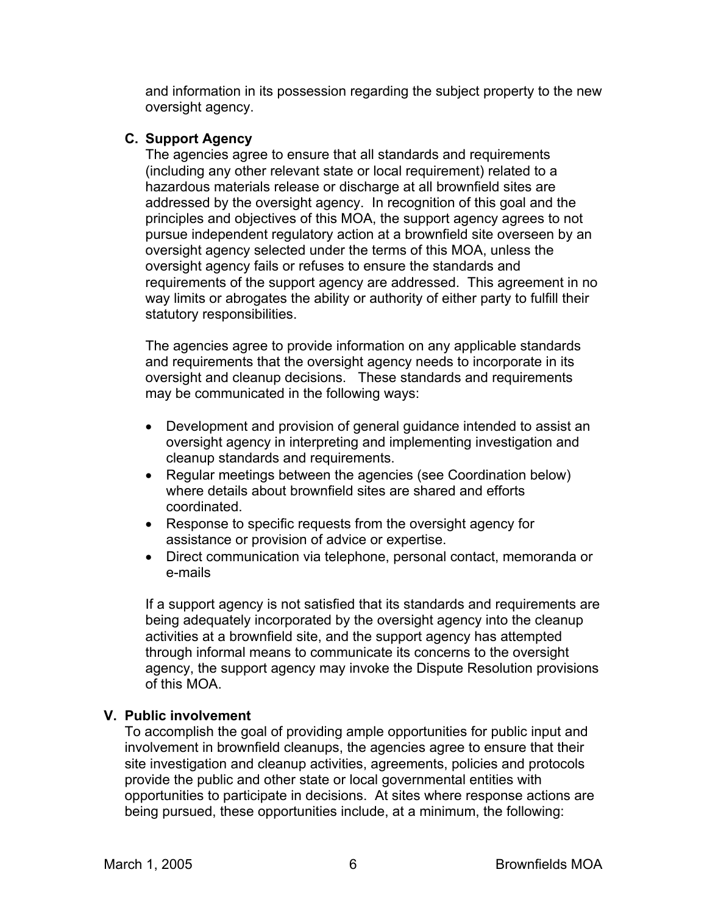and information in its possession regarding the subject property to the new oversight agency.

### **C. Support Agency**

The agencies agree to ensure that all standards and requirements (including any other relevant state or local requirement) related to a hazardous materials release or discharge at all brownfield sites are addressed by the oversight agency. In recognition of this goal and the principles and objectives of this MOA, the support agency agrees to not pursue independent regulatory action at a brownfield site overseen by an oversight agency selected under the terms of this MOA, unless the oversight agency fails or refuses to ensure the standards and requirements of the support agency are addressed. This agreement in no way limits or abrogates the ability or authority of either party to fulfill their statutory responsibilities.

The agencies agree to provide information on any applicable standards and requirements that the oversight agency needs to incorporate in its oversight and cleanup decisions. These standards and requirements may be communicated in the following ways:

- Development and provision of general guidance intended to assist an oversight agency in interpreting and implementing investigation and cleanup standards and requirements.
- Regular meetings between the agencies (see Coordination below) where details about brownfield sites are shared and efforts coordinated.
- Response to specific requests from the oversight agency for assistance or provision of advice or expertise.
- Direct communication via telephone, personal contact, memoranda or e-mails

If a support agency is not satisfied that its standards and requirements are being adequately incorporated by the oversight agency into the cleanup activities at a brownfield site, and the support agency has attempted through informal means to communicate its concerns to the oversight agency, the support agency may invoke the Dispute Resolution provisions of this MOA.

### **V. Public involvement**

To accomplish the goal of providing ample opportunities for public input and involvement in brownfield cleanups, the agencies agree to ensure that their site investigation and cleanup activities, agreements, policies and protocols provide the public and other state or local governmental entities with opportunities to participate in decisions. At sites where response actions are being pursued, these opportunities include, at a minimum, the following: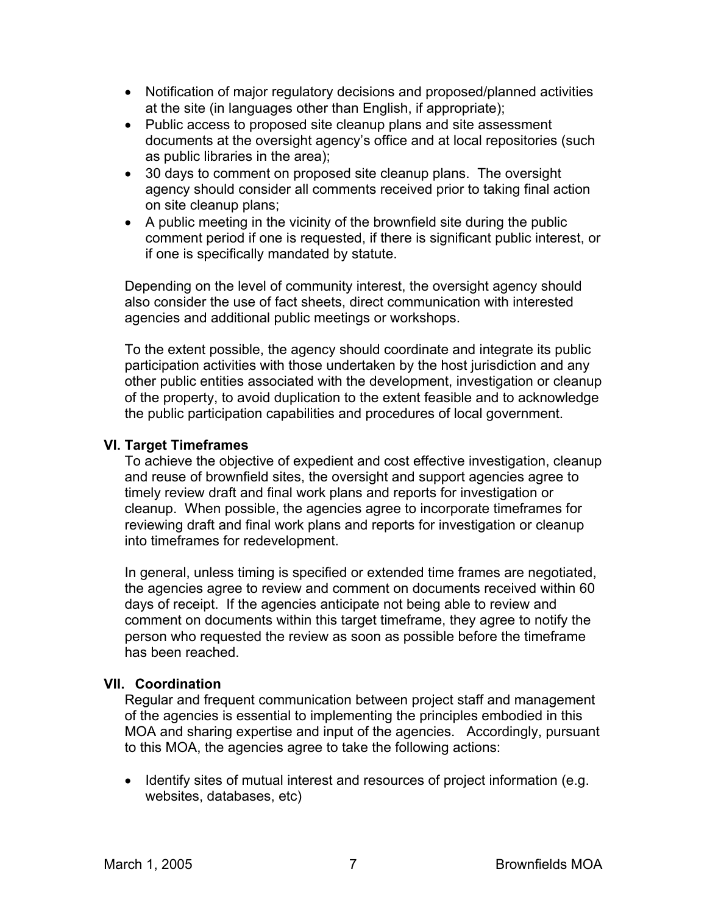- Notification of major regulatory decisions and proposed/planned activities at the site (in languages other than English, if appropriate);
- Public access to proposed site cleanup plans and site assessment documents at the oversight agency's office and at local repositories (such as public libraries in the area);
- 30 days to comment on proposed site cleanup plans. The oversight agency should consider all comments received prior to taking final action on site cleanup plans;
- A public meeting in the vicinity of the brownfield site during the public comment period if one is requested, if there is significant public interest, or if one is specifically mandated by statute.

Depending on the level of community interest, the oversight agency should also consider the use of fact sheets, direct communication with interested agencies and additional public meetings or workshops.

To the extent possible, the agency should coordinate and integrate its public participation activities with those undertaken by the host jurisdiction and any other public entities associated with the development, investigation or cleanup of the property, to avoid duplication to the extent feasible and to acknowledge the public participation capabilities and procedures of local government.

### **VI. Target Timeframes**

To achieve the objective of expedient and cost effective investigation, cleanup and reuse of brownfield sites, the oversight and support agencies agree to timely review draft and final work plans and reports for investigation or cleanup. When possible, the agencies agree to incorporate timeframes for reviewing draft and final work plans and reports for investigation or cleanup into timeframes for redevelopment.

In general, unless timing is specified or extended time frames are negotiated, the agencies agree to review and comment on documents received within 60 days of receipt. If the agencies anticipate not being able to review and comment on documents within this target timeframe, they agree to notify the person who requested the review as soon as possible before the timeframe has been reached.

### **VII. Coordination**

Regular and frequent communication between project staff and management of the agencies is essential to implementing the principles embodied in this MOA and sharing expertise and input of the agencies. Accordingly, pursuant to this MOA, the agencies agree to take the following actions:

• Identify sites of mutual interest and resources of project information (e.g. websites, databases, etc)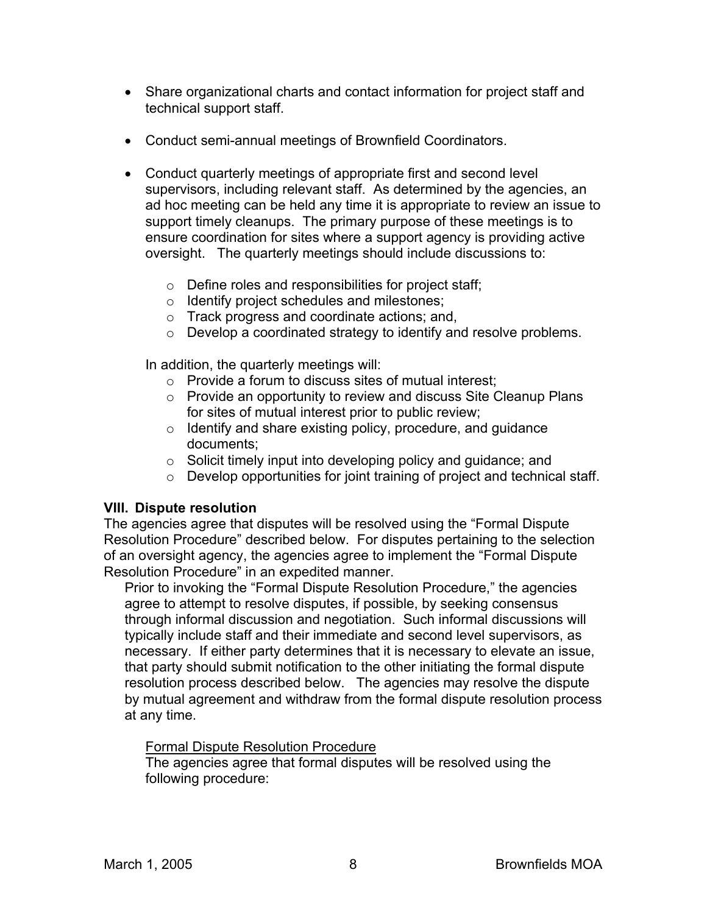- Share organizational charts and contact information for project staff and technical support staff.
- Conduct semi-annual meetings of Brownfield Coordinators.
- Conduct quarterly meetings of appropriate first and second level supervisors, including relevant staff. As determined by the agencies, an ad hoc meeting can be held any time it is appropriate to review an issue to support timely cleanups. The primary purpose of these meetings is to ensure coordination for sites where a support agency is providing active oversight. The quarterly meetings should include discussions to:
	- o Define roles and responsibilities for project staff;
	- o Identify project schedules and milestones;
	- o Track progress and coordinate actions; and,
	- o Develop a coordinated strategy to identify and resolve problems.

In addition, the quarterly meetings will:

- $\circ$  Provide a forum to discuss sites of mutual interest;
- o Provide an opportunity to review and discuss Site Cleanup Plans for sites of mutual interest prior to public review;
- o Identify and share existing policy, procedure, and guidance documents;
- o Solicit timely input into developing policy and guidance; and
- o Develop opportunities for joint training of project and technical staff.

### **VIII. Dispute resolution**

The agencies agree that disputes will be resolved using the "Formal Dispute Resolution Procedure" described below. For disputes pertaining to the selection of an oversight agency, the agencies agree to implement the "Formal Dispute Resolution Procedure" in an expedited manner.

Prior to invoking the "Formal Dispute Resolution Procedure," the agencies agree to attempt to resolve disputes, if possible, by seeking consensus through informal discussion and negotiation. Such informal discussions will typically include staff and their immediate and second level supervisors, as necessary. If either party determines that it is necessary to elevate an issue, that party should submit notification to the other initiating the formal dispute resolution process described below. The agencies may resolve the dispute by mutual agreement and withdraw from the formal dispute resolution process at any time.

Formal Dispute Resolution Procedure

The agencies agree that formal disputes will be resolved using the following procedure: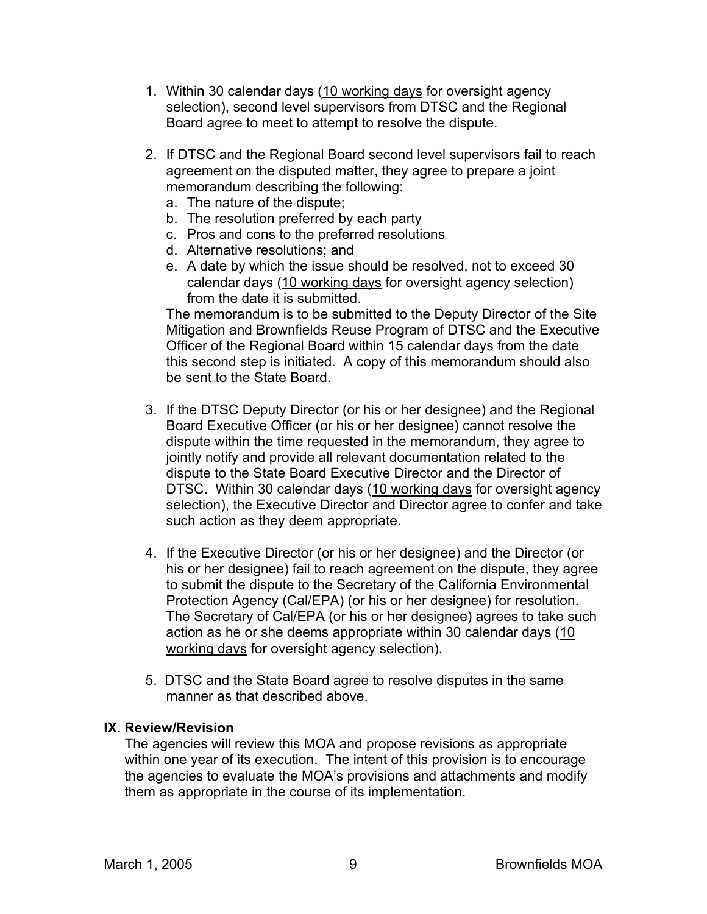- 1. Within 30 calendar days (10 working days for oversight agency selection), second level supervisors from DTSC and the Regional Board agree to meet to attempt to resolve the dispute.
- 2. If DTSC and the Regional Board second level supervisors fail to reach agreement on the disputed matter, they agree to prepare a joint memorandum describing the following:
	- a. The nature of the dispute;
	- b. The resolution preferred by each party
	- c. Pros and cons to the preferred resolutions
	- d. Alternative resolutions; and
	- e. A date by which the issue should be resolved, not to exceed 30 calendar days (10 working days for oversight agency selection) from the date it is submitted.

The memorandum is to be submitted to the Deputy Director of the Site Mitigation and Brownfields Reuse Program of DTSC and the Executive Officer of the Regional Board within 15 calendar days from the date this second step is initiated. A copy of this memorandum should also be sent to the State Board.

- 3. If the DTSC Deputy Director (or his or her designee) and the Regional Board Executive Officer (or his or her designee) cannot resolve the dispute within the time requested in the memorandum, they agree to jointly notify and provide all relevant documentation related to the dispute to the State Board Executive Director and the Director of DTSC. Within 30 calendar days (10 working days for oversight agency selection), the Executive Director and Director agree to confer and take such action as they deem appropriate.
- 4. If the Executive Director (or his or her designee) and the Director (or his or her designee) fail to reach agreement on the dispute, they agree to submit the dispute to the Secretary of the California Environmental Protection Agency (Cal/EPA) (or his or her designee) for resolution. The Secretary of Cal/EPA (or his or her designee) agrees to take such action as he or she deems appropriate within 30 calendar days (10 working days for oversight agency selection).
- 5. DTSC and the State Board agree to resolve disputes in the same manner as that described above.

### **IX. Review/Revision**

The agencies will review this MOA and propose revisions as appropriate within one year of its execution. The intent of this provision is to encourage the agencies to evaluate the MOA's provisions and attachments and modify them as appropriate in the course of its implementation.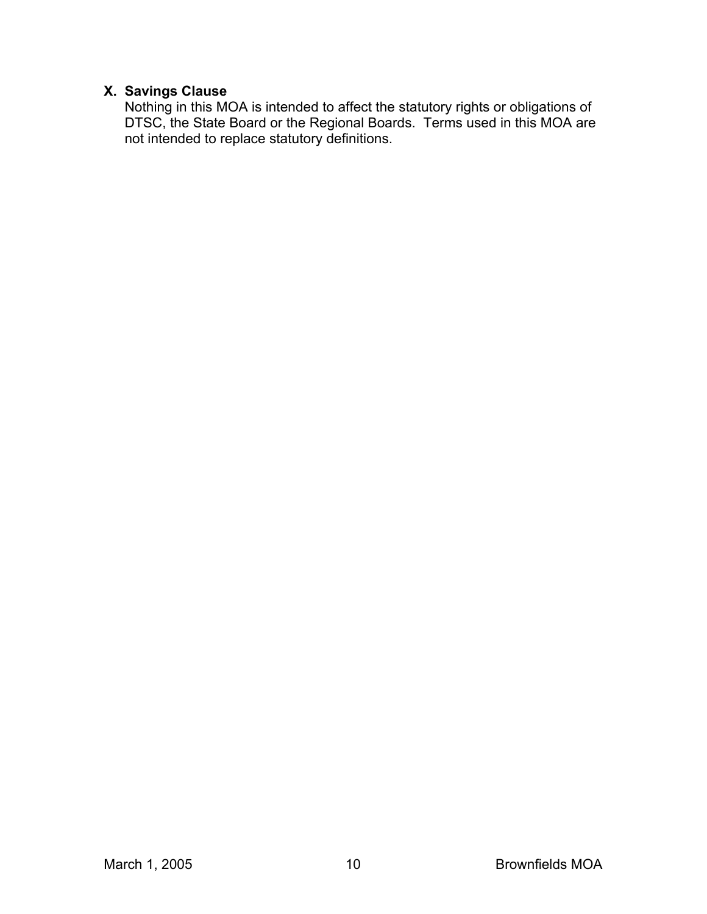### **X. Savings Clause**

Nothing in this MOA is intended to affect the statutory rights or obligations of DTSC, the State Board or the Regional Boards. Terms used in this MOA are not intended to replace statutory definitions.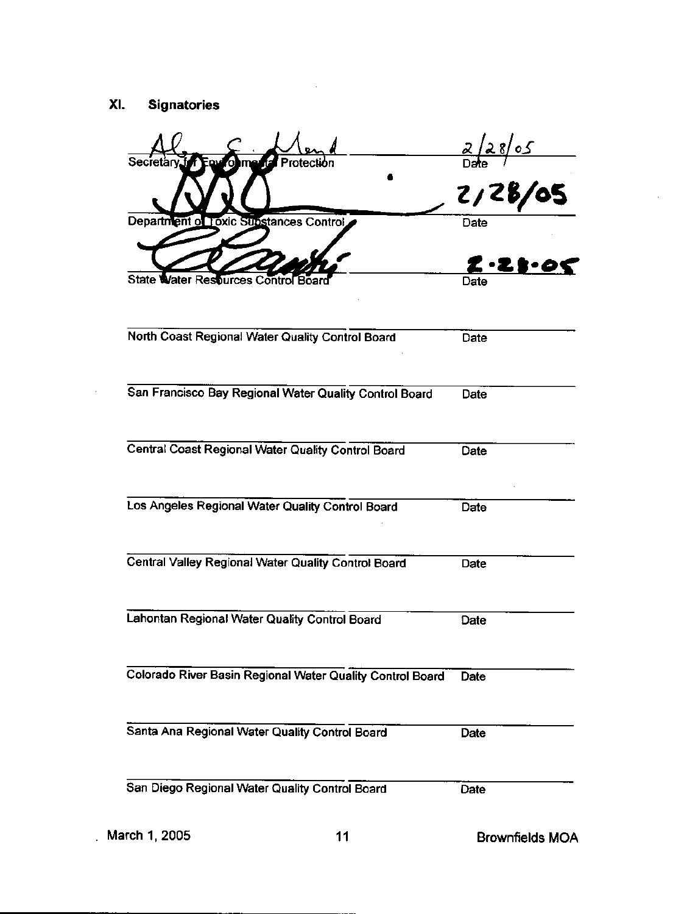$\mathcal{A}^{\mathcal{A}}$ 

| Secretary for<br>Protec                                   | $\frac{2/28/05}{\text{Date}}$<br>2/28/05       |
|-----------------------------------------------------------|------------------------------------------------|
| Department of Toxic Substances Control                    | Date                                           |
|                                                           | $\boldsymbol{z}\cdot\boldsymbol{z}$ to $\cdot$ |
| State Water Resturces Control Boar                        | Date                                           |
| North Coast Regional Water Quality Control Board          | Date                                           |
| San Francisco Bay Regional Water Quality Control Board    | Date                                           |
| Central Coast Regional Water Quality Control Board        | Date                                           |
| Los Angeles Regional Water Quality Control Board          | Date                                           |
| Central Valley Regional Water Quality Control Board       | Date                                           |
| Lahontan Regional Water Quality Control Board             | Date                                           |
| Colorado River Basin Regional Water Quality Control Board | Date                                           |
| Santa Ana Regional Water Quality Control Board            | Date                                           |
| San Diego Regional Water Quality Control Board            | Date                                           |
|                                                           |                                                |

 $\mathcal{A}$ 

 $\bar{z}$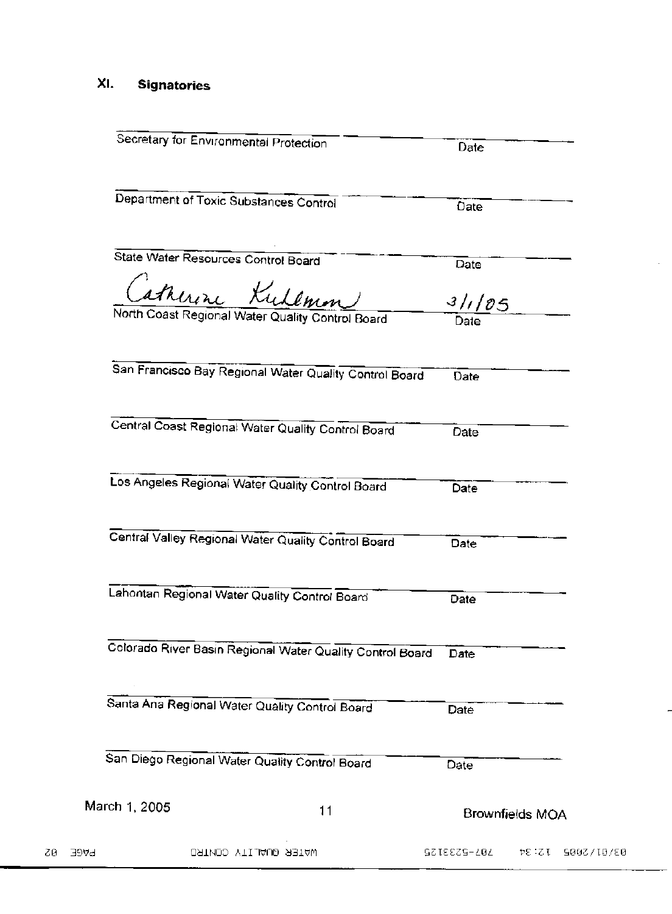#### XI. **Signatories**

| San Diego Regional Water Quality Control Board                      | Date<br>Date                 |
|---------------------------------------------------------------------|------------------------------|
|                                                                     |                              |
| Santa Ana Regional Water Quality Control Board                      |                              |
| Colorado River Basin Regional Water Quality Control Board           | Date                         |
| Lahontan Regional Water Quality Control Board                       | Date                         |
|                                                                     |                              |
| Central Valley Regional Water Quality Control Board                 | Date                         |
| Los Angeles Regional Water Quality Control Board                    | Date                         |
| Central Coast Regional Water Quality Control Board                  | Date                         |
| San Francisco Bay Regional Water Quality Control Board              | Date                         |
|                                                                     |                              |
| atherine Kudemm<br>North Coast Regional Water Quality Control Board | $\frac{3/1/85}{\text{Date}}$ |
| State Water Resources Control Board                                 | Date                         |
| Department of Toxic Substances Control                              | Date                         |
| Secretary for Environmental Protection                              | Date                         |

 $\hat{\mathcal{L}}$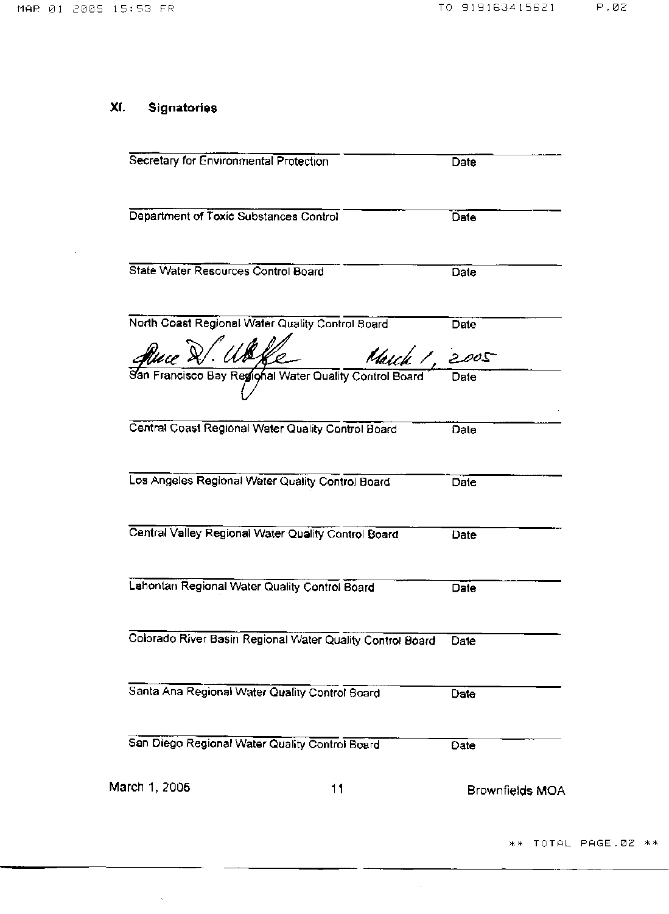$\sim$ 

#### $XI.$ **Signatories**

 $\sim$ 

| Secretary for Environmental Protection                    |               | Date                   |
|-----------------------------------------------------------|---------------|------------------------|
| Department of Toxic Substances Control                    |               | Date                   |
| <b>State Water Resources Control Board</b>                |               | Date                   |
| North Coast Regional Water Quality Control Board          |               | Date                   |
| <u>ffuce &amp;/ Uk</u>                                    | March 1, 2005 |                        |
| San Francisco Bay Regional Water Quality Control Board    |               | Date                   |
| Central Coast Regional Water Quality Control Board        |               | Date                   |
| Los Angeles Regional Water Quality Control Board          |               | Date                   |
| Central Valley Regional Water Quality Control Board       |               | Date                   |
| Lahontan Regional Water Quality Control Board             |               | Date                   |
| Colorado River Basin Regional Water Quality Control Board |               | Date                   |
| Santa Ana Regional Water Quality Control Board            |               | Date                   |
| San Diego Regional Water Quality Control Board            |               | Date                   |
| March 1, 2005<br>11                                       |               | <b>Brownfields MOA</b> |

 $\hat{\mathcal{A}}$ 

\*\* TOTAL PAGE.02 \*\*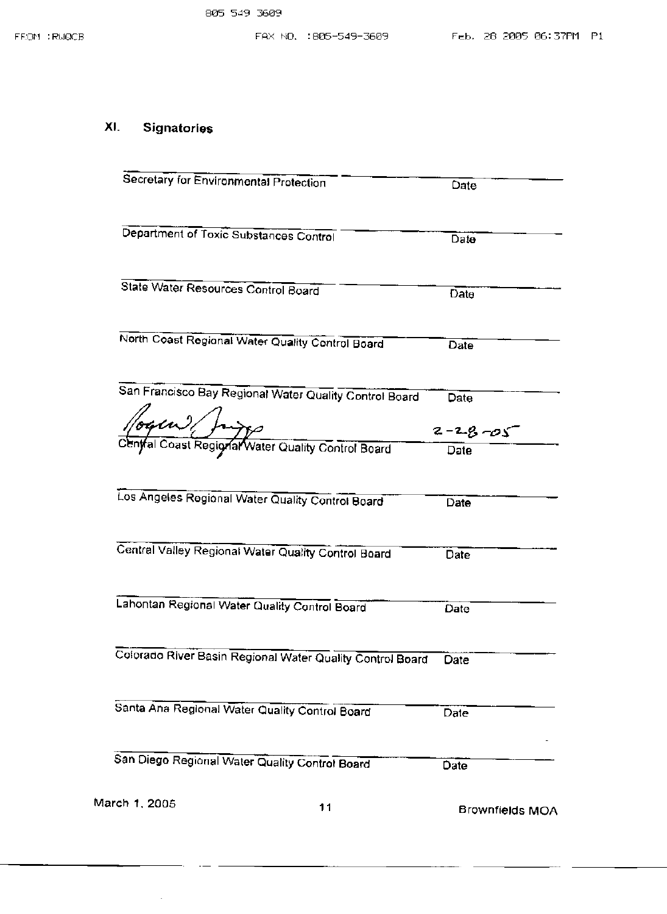#### XI. Signatories

 $\hat{\boldsymbol{\beta}}$ 

| Secretary for Environmental Protection                    | Date                   |
|-----------------------------------------------------------|------------------------|
| Department of Toxic Substances Control                    | Date                   |
| State Water Resources Control Board                       |                        |
|                                                           | Date                   |
| North Coast Regional Water Quality Control Board          | Date                   |
| San Francisco Bay Regional Water Quality Control Board    | Date                   |
|                                                           | $2 - 28 - 05$          |
| Aute 2 11                                                 | Date                   |
| Los Angeles Regional Water Quality Control Board          | Date                   |
| Central Valley Regional Water Quality Control Board       | Date                   |
| Lahontan Regional Water Quality Control Board             | Date                   |
| Colorado River Basin Regional Water Quality Control Board | Date                   |
| Santa Ana Regional Water Quality Control Board            | Date                   |
| San Diego Regional Water Quality Control Board            | Date                   |
| March 1, 2005<br>11                                       | <b>Brownfields MOA</b> |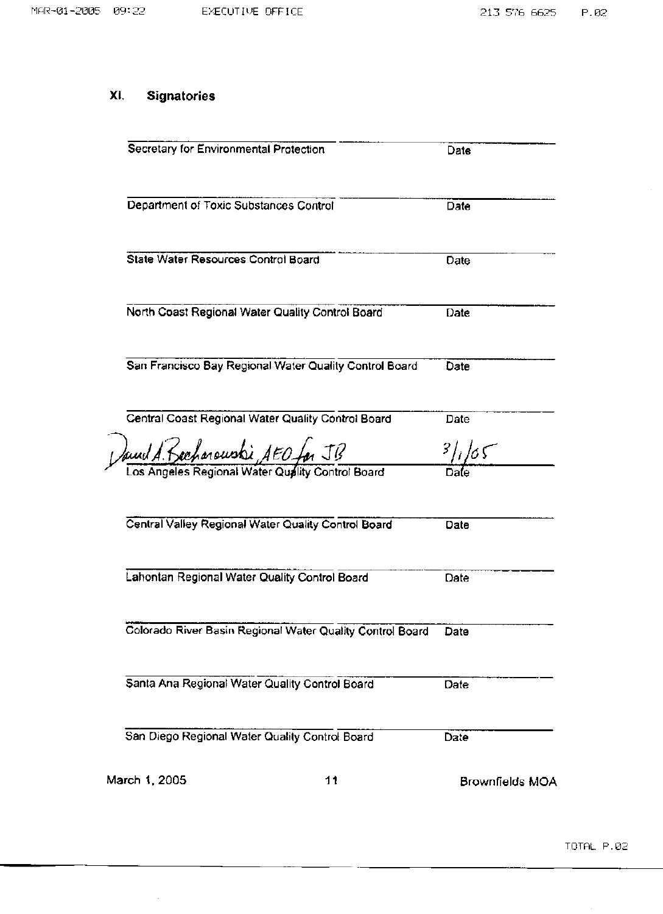$\hat{\mathcal{A}}$ 

# XI. Signatories

 $\hat{\mathbf{v}}$ 

| Secretary for Environmental Protection                                              | Date                   |
|-------------------------------------------------------------------------------------|------------------------|
| Department of Toxic Substances Control                                              | Date                   |
| State Water Resources Control Board                                                 | Date                   |
| North Coast Regional Water Quality Control Board                                    | Date                   |
| San Francisco Bay Regional Water Quality Control Board                              | Date                   |
| Central Coast Regional Water Quality Control Board                                  | Date                   |
| Dawul A. Rechargusti AEO far JB<br>Los Angeles Regional Water Quality Control Board | 3/165                  |
|                                                                                     |                        |
| Central Valley Regional Water Quality Control Board                                 | Date                   |
| Lahontan Regional Water Quality Control Board                                       | Date                   |
| Colorado River Basin Regional Water Quality Control Board                           | Date                   |
| Santa Ana Regional Water Quality Control Board                                      | Date                   |
| San Diego Regional Water Quality Control Board                                      | Date                   |
| March 1, 2005<br>11                                                                 | <b>Brownfields MOA</b> |

 $\ddot{\phantom{0}}$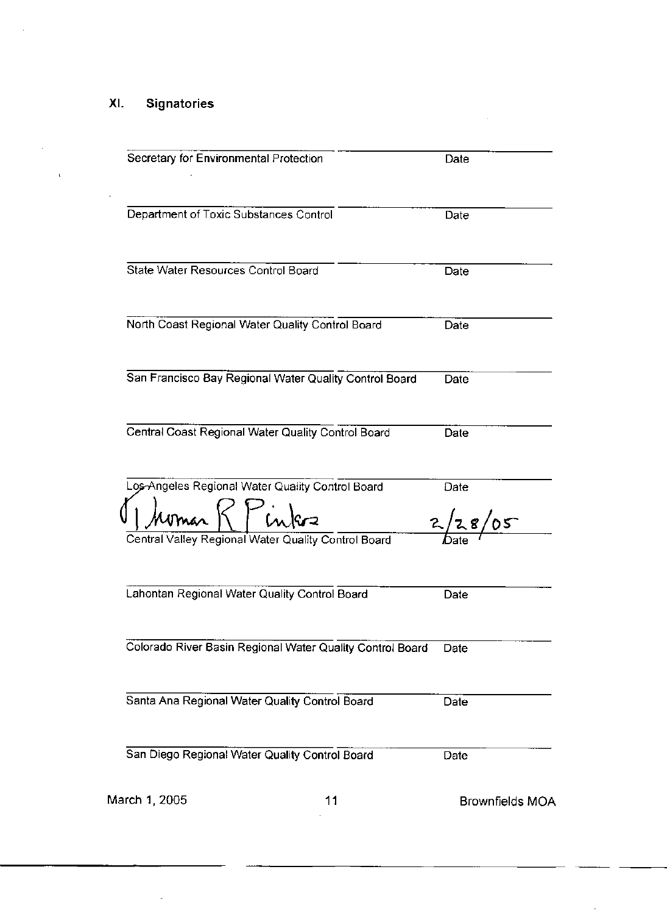#### Signatories XI.

l,

÷,

| Secretary for Environmental Protection                    |    | Date                   |
|-----------------------------------------------------------|----|------------------------|
| Department of Toxic Substances Control                    |    | Date                   |
| State Water Resources Control Board                       |    | Date                   |
| North Coast Regional Water Quality Control Board          |    | Date                   |
| San Francisco Bay Regional Water Quality Control Board    |    | Date                   |
| Central Coast Regional Water Quality Control Board        |    | Date                   |
| os-Angeles Regional Water Quality Control Board<br>homan' |    | Date<br>2/28/05        |
| Central Valley Regional Water Quality Control Board       |    |                        |
| Lahontan Regional Water Quality Control Board             |    | Date                   |
| Colorado River Basin Regional Water Quality Control Board |    | Date                   |
| Santa Ana Regional Water Quality Control Board            |    | Date                   |
| San Diego Regional Water Quality Control Board            |    | Date                   |
| March 1, 2005                                             | 11 | <b>Brownfields MOA</b> |

 $\mathcal{L}_{\mathcal{A}}$ 

Ŷ,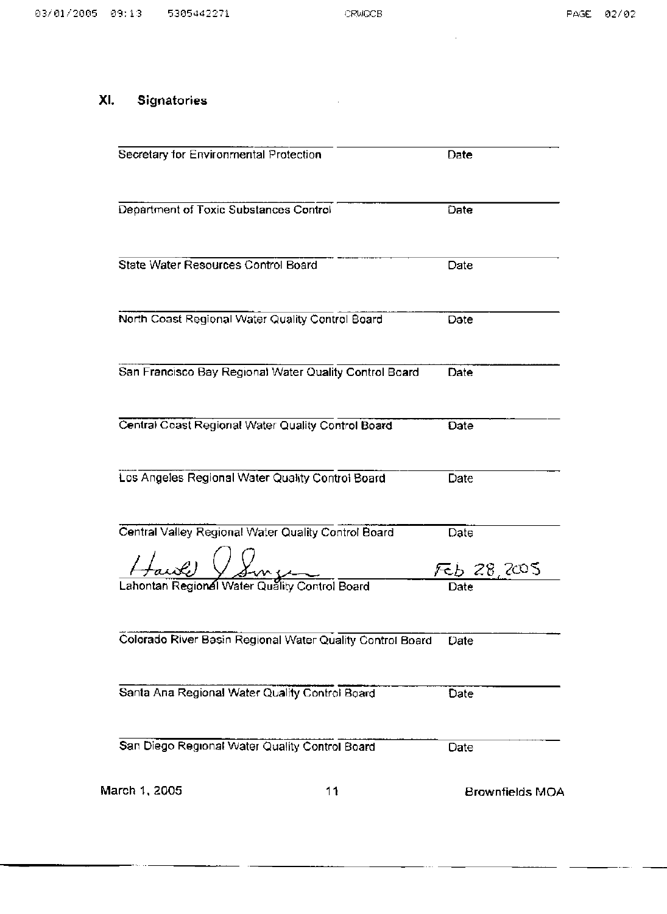$\sim$ 

 $\bar{\gamma}$ 

#### **Signatories** XI.

| Secretary for Environmental Protection                    | Date                   |
|-----------------------------------------------------------|------------------------|
| Department of Toxic Substances Control                    | Date                   |
| <b>State Water Resources Control Board</b>                | Date                   |
| North Coast Regional Water Quality Control Board          | Date                   |
| San Francisco Bay Regional Water Quality Control Board    | Date                   |
| Central Coast Regional Water Quality Control Board        | Date                   |
| Los Angeles Regional Water Quality Control Board          | Date                   |
| Central Valley Regional Water Quality Control Board       | Date                   |
| Lahontan Regional Water Quality Control Board             | డెం 28,2005<br>Date    |
| Colorado River Basin Regional Water Quality Control Board | Date                   |
| Santa Ana Regional Water Quality Control Board            | Date                   |
| San Diego Regional Water Quality Control Board            | Date                   |
| March 1, 2005<br>11                                       | <b>Brownfields MOA</b> |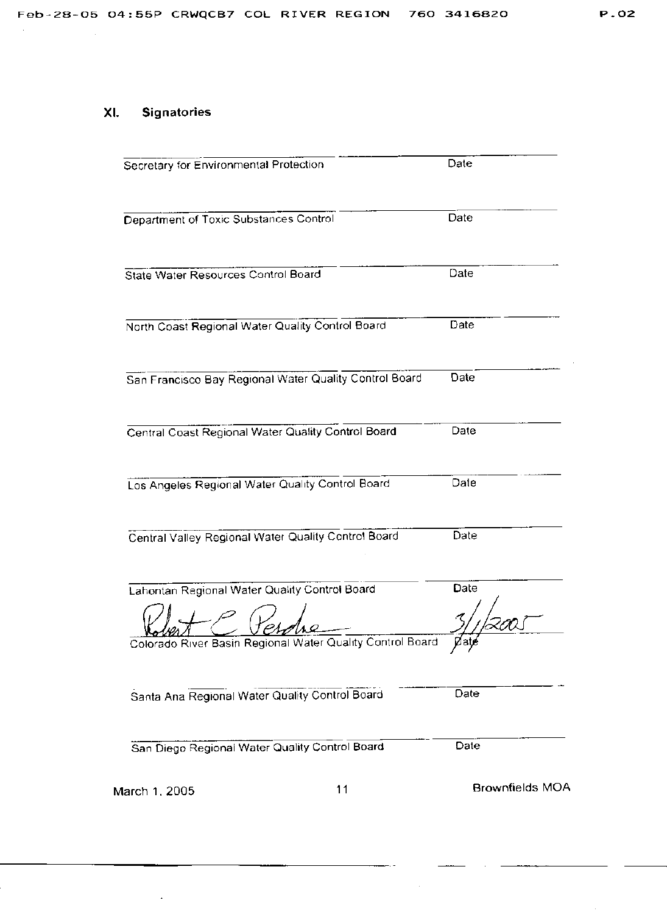# P.02

#### **Signatories** XI.

 $\ddot{\phantom{a}}$ 

| Secretary for Environmental Protection                    | Date                   |
|-----------------------------------------------------------|------------------------|
| Department of Toxic Substances Control                    | Date                   |
| State Water Resources Control Board                       | Date                   |
| North Coast Regional Water Quality Control Board          | Date                   |
| San Francisco Bay Regional Water Quality Control Board    | Date                   |
| Central Coast Regional Water Quality Control Board        | Date                   |
| Los Angeles Regional Water Quality Control Board          | Date                   |
| Central Valley Regional Water Quality Control Board       | Date                   |
| Lahontan Regional Water Quality Control Board             | Date                   |
| Colorado River Basin Regional Water Quality Control Board | $\gamma$               |
| Santa Ana Regional Water Quality Control Board            | Date                   |
| San Diego Regional Water Quality Control Board            | Date                   |
| 11<br>March 1, 2005                                       | <b>Brownfields MOA</b> |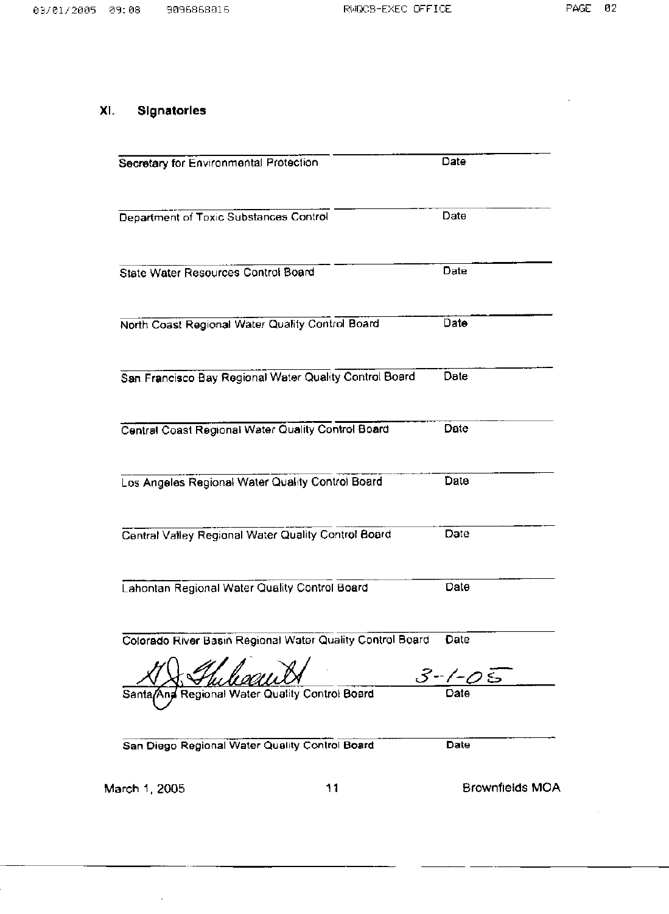$\sim$ 

## XI. Signatories

 $\bar{\beta}$ 

| Secretary for Environmental Protection                    | Date                   |
|-----------------------------------------------------------|------------------------|
|                                                           |                        |
| Department of Toxic Substances Control                    | Date                   |
| <b>State Water Resources Control Board</b>                | Date                   |
| North Coast Regional Water Quality Control Board          | Date                   |
| San Francisco Bay Regional Water Quality Control Board    | Date                   |
| Central Coast Regional Water Quality Control Board        | Date                   |
| Los Angeles Regional Water Quality Control Board          | Date                   |
| Central Valley Regional Water Quality Control Board       | Date                   |
| Lahontan Regional Water Quality Control Board             | Date                   |
| Colorado River Basin Regional Water Quality Control Board | Date                   |
| tegional Water Quality Control Board<br>Santa             | 3-1-05                 |
| San Diego Regional Water Quality Control Board            | Date                   |
| 11<br>March 1, 2005                                       | <b>Brownfields MOA</b> |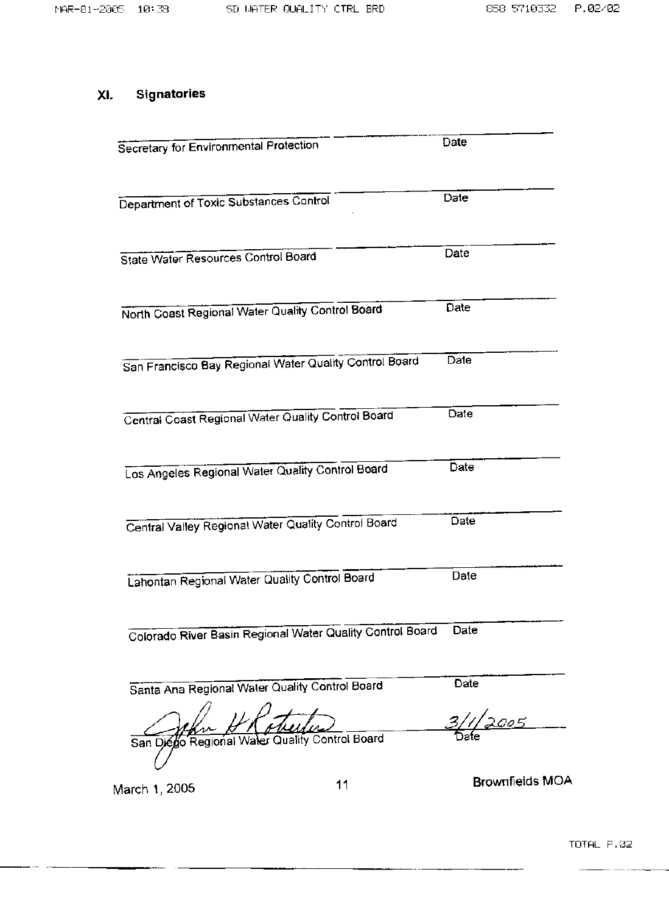#### XI. **Signatories**

| <b>Secretary for Environmental Protection</b>             |    | Date                   |
|-----------------------------------------------------------|----|------------------------|
| Department of Toxic Substances Control                    |    | Date                   |
| State Water Resources Control Board                       |    | Date                   |
| North Coast Regional Water Quality Control Board          |    | Date                   |
| San Francisco Bay Regional Water Quality Control Board    |    | Date                   |
| Central Coast Regional Water Quality Control Board        |    | Date                   |
| Los Angeles Regional Water Quality Control Board          |    | Date                   |
| Central Valley Regional Water Quality Control Board       |    | Date                   |
| Lahontan Regional Water Quality Control Board             |    | Date                   |
| Colorado River Basin Regional Water Quality Control Board |    | Date                   |
| Santa Ana Regional Water Quality Control Board            |    | Date                   |
| San Diego Regional Water Quality Control Board            |    |                        |
| Jarch 1, 2005                                             | 11 | <b>Brownfields MOA</b> |

March 1, 2005

**Brownfields MOA**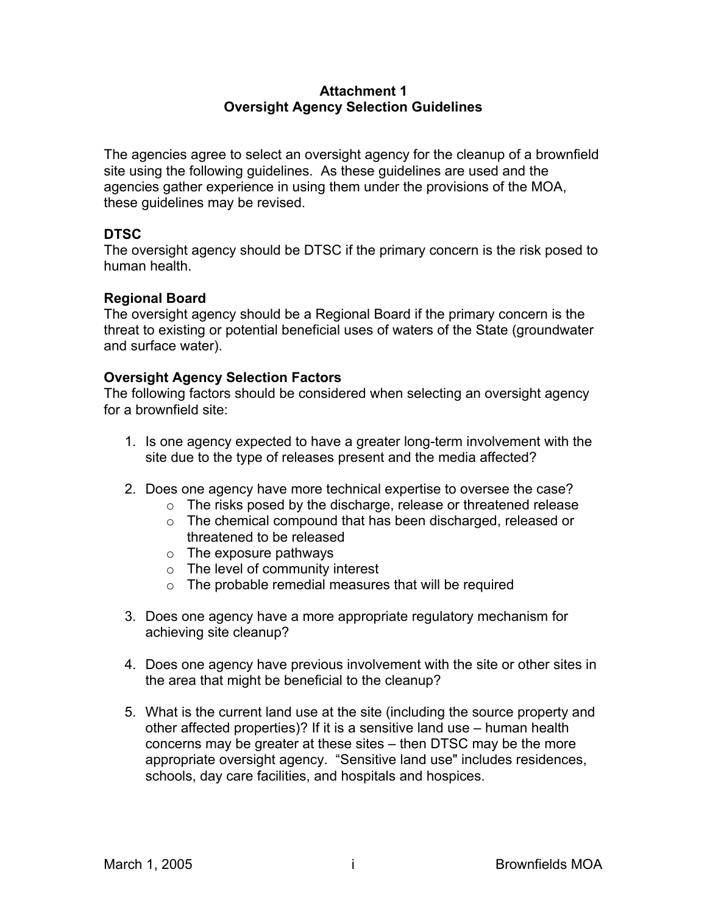### **Attachment 1 Oversight Agency Selection Guidelines**

The agencies agree to select an oversight agency for the cleanup of a brownfield site using the following guidelines. As these guidelines are used and the agencies gather experience in using them under the provisions of the MOA, these guidelines may be revised.

### **DTSC**

The oversight agency should be DTSC if the primary concern is the risk posed to human health.

### **Regional Board**

The oversight agency should be a Regional Board if the primary concern is the threat to existing or potential beneficial uses of waters of the State (groundwater and surface water).

### **Oversight Agency Selection Factors**

The following factors should be considered when selecting an oversight agency for a brownfield site:

- 1. Is one agency expected to have a greater long-term involvement with the site due to the type of releases present and the media affected?
- 2. Does one agency have more technical expertise to oversee the case?
	- o The risks posed by the discharge, release or threatened release
	- o The chemical compound that has been discharged, released or threatened to be released
	- $\circ$  The exposure pathways
	- o The level of community interest
	- $\circ$  The probable remedial measures that will be required
- 3. Does one agency have a more appropriate regulatory mechanism for achieving site cleanup?
- 4. Does one agency have previous involvement with the site or other sites in the area that might be beneficial to the cleanup?
- 5. What is the current land use at the site (including the source property and other affected properties)? If it is a sensitive land use – human health concerns may be greater at these sites – then DTSC may be the more appropriate oversight agency. "Sensitive land use" includes residences, schools, day care facilities, and hospitals and hospices.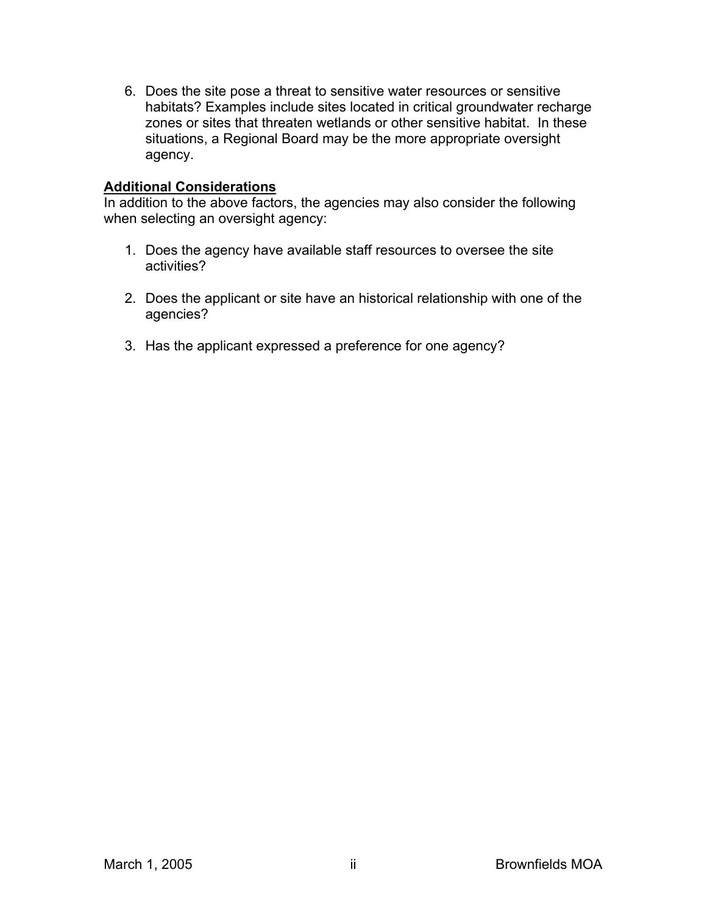6. Does the site pose a threat to sensitive water resources or sensitive habitats? Examples include sites located in critical groundwater recharge zones or sites that threaten wetlands or other sensitive habitat. In these situations, a Regional Board may be the more appropriate oversight agency.

### **Additional Considerations**

In addition to the above factors, the agencies may also consider the following when selecting an oversight agency:

- 1. Does the agency have available staff resources to oversee the site activities?
- 2. Does the applicant or site have an historical relationship with one of the agencies?
- 3. Has the applicant expressed a preference for one agency?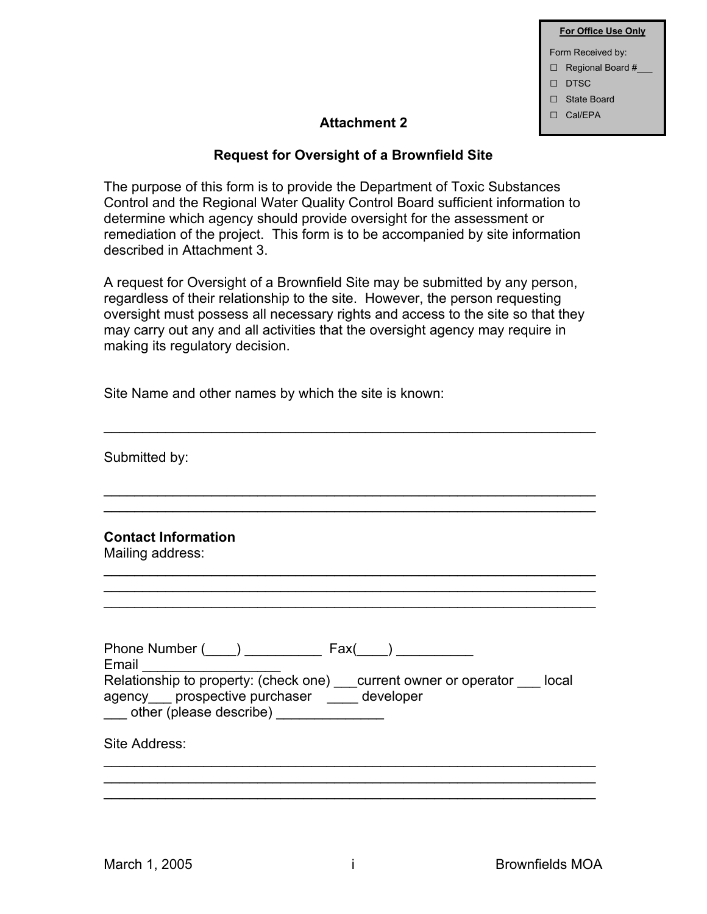|   | <b>For Office Use Only</b> |
|---|----------------------------|
|   | Form Received by:          |
|   | $\Box$ Regional Board #    |
|   | $\Box$ DTSC                |
| □ | State Board                |
|   | $\Box$ Cal/FPA             |
|   |                            |

### Attachment 2

### **Request for Oversight of a Brownfield Site**

The purpose of this form is to provide the Department of Toxic Substances Control and the Regional Water Quality Control Board sufficient information to determine which agency should provide oversight for the assessment or remediation of the project. This form is to be accompanied by site information described in Attachment 3.

A request for Oversight of a Brownfield Site may be submitted by any person, regardless of their relationship to the site. However, the person requesting oversight must possess all necessary rights and access to the site so that they may carry out any and all activities that the oversight agency may require in making its regulatory decision.

\_\_\_\_\_\_\_\_\_\_\_\_\_\_\_\_\_\_\_\_\_\_\_\_\_\_\_\_\_\_\_\_\_\_\_\_\_\_\_\_\_\_\_\_\_\_\_\_\_\_\_\_\_\_\_\_\_\_\_\_\_\_\_\_

\_\_\_\_\_\_\_\_\_\_\_\_\_\_\_\_\_\_\_\_\_\_\_\_\_\_\_\_\_\_\_\_\_\_\_\_\_\_\_\_\_\_\_\_\_\_\_\_\_\_\_\_\_\_\_\_\_\_\_\_\_\_\_\_ \_\_\_\_\_\_\_\_\_\_\_\_\_\_\_\_\_\_\_\_\_\_\_\_\_\_\_\_\_\_\_\_\_\_\_\_\_\_\_\_\_\_\_\_\_\_\_\_\_\_\_\_\_\_\_\_\_\_\_\_\_\_\_\_

\_\_\_\_\_\_\_\_\_\_\_\_\_\_\_\_\_\_\_\_\_\_\_\_\_\_\_\_\_\_\_\_\_\_\_\_\_\_\_\_\_\_\_\_\_\_\_\_\_\_\_\_\_\_\_\_\_\_\_\_\_\_\_\_ \_\_\_\_\_\_\_\_\_\_\_\_\_\_\_\_\_\_\_\_\_\_\_\_\_\_\_\_\_\_\_\_\_\_\_\_\_\_\_\_\_\_\_\_\_\_\_\_\_\_\_\_\_\_\_\_\_\_\_\_\_\_\_\_ \_\_\_\_\_\_\_\_\_\_\_\_\_\_\_\_\_\_\_\_\_\_\_\_\_\_\_\_\_\_\_\_\_\_\_\_\_\_\_\_\_\_\_\_\_\_\_\_\_\_\_\_\_\_\_\_\_\_\_\_\_\_\_\_

Site Name and other names by which the site is known:

Submitted by:

**Contact Information** 

Mailing address:

| Phone Number ( )<br>Fax(<br>Email<br>Relationship to property: (check one)<br>current owner or operator<br>local<br>agency prospective purchaser<br>developer<br>other (please describe) |
|------------------------------------------------------------------------------------------------------------------------------------------------------------------------------------------|
| Site Address:                                                                                                                                                                            |
|                                                                                                                                                                                          |

\_\_\_\_\_\_\_\_\_\_\_\_\_\_\_\_\_\_\_\_\_\_\_\_\_\_\_\_\_\_\_\_\_\_\_\_\_\_\_\_\_\_\_\_\_\_\_\_\_\_\_\_\_\_\_\_\_\_\_\_\_\_\_\_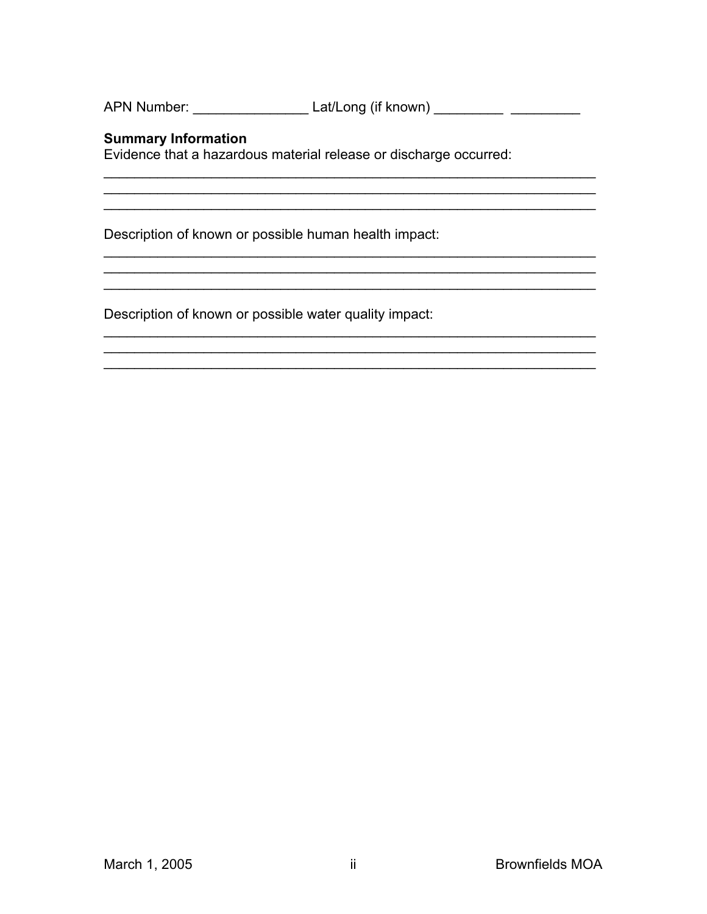APN Number: \_\_\_\_\_\_\_\_\_\_\_\_\_\_\_\_\_\_\_\_\_\_\_\_ Lat/Long (if known) \_\_\_\_\_\_\_\_\_\_ \_\_\_\_\_\_\_\_\_\_\_\_

### **Summary Information**

Evidence that a hazardous material release or discharge occurred:

Description of known or possible human health impact:

Description of known or possible water quality impact: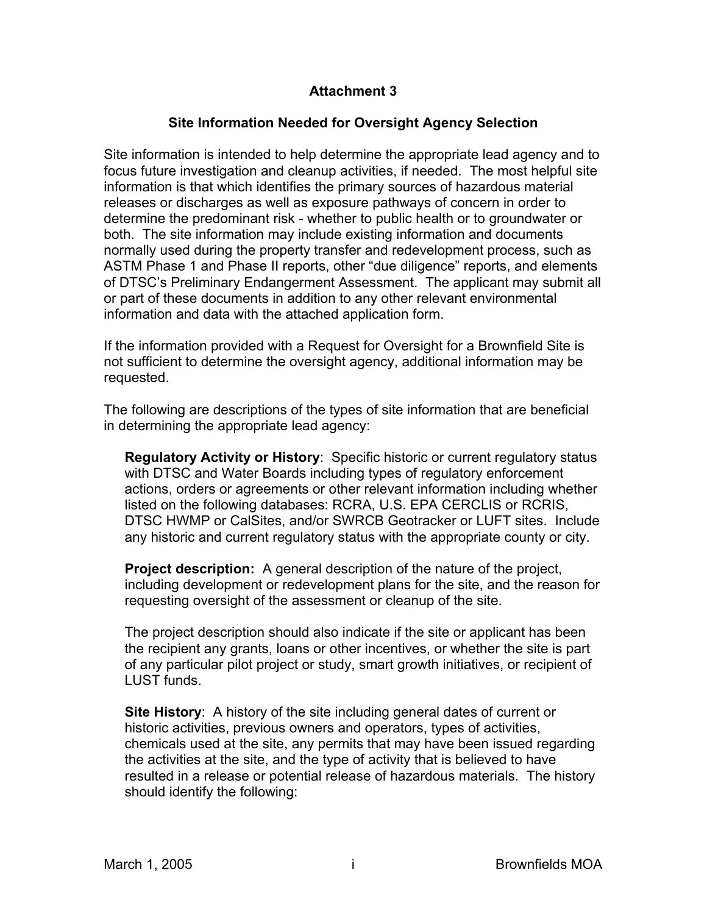### **Attachment 3**

### **Site Information Needed for Oversight Agency Selection**

Site information is intended to help determine the appropriate lead agency and to focus future investigation and cleanup activities, if needed. The most helpful site information is that which identifies the primary sources of hazardous material releases or discharges as well as exposure pathways of concern in order to determine the predominant risk - whether to public health or to groundwater or both. The site information may include existing information and documents normally used during the property transfer and redevelopment process, such as ASTM Phase 1 and Phase II reports, other "due diligence" reports, and elements of DTSC's Preliminary Endangerment Assessment. The applicant may submit all or part of these documents in addition to any other relevant environmental information and data with the attached application form.

If the information provided with a Request for Oversight for a Brownfield Site is not sufficient to determine the oversight agency, additional information may be requested.

The following are descriptions of the types of site information that are beneficial in determining the appropriate lead agency:

**Regulatory Activity or History**: Specific historic or current regulatory status with DTSC and Water Boards including types of regulatory enforcement actions, orders or agreements or other relevant information including whether listed on the following databases: RCRA, U.S. EPA CERCLIS or RCRIS, DTSC HWMP or CalSites, and/or SWRCB Geotracker or LUFT sites. Include any historic and current regulatory status with the appropriate county or city.

**Project description:** A general description of the nature of the project, including development or redevelopment plans for the site, and the reason for requesting oversight of the assessment or cleanup of the site.

The project description should also indicate if the site or applicant has been the recipient any grants, loans or other incentives, or whether the site is part of any particular pilot project or study, smart growth initiatives, or recipient of LUST funds.

**Site History**: A history of the site including general dates of current or historic activities, previous owners and operators, types of activities, chemicals used at the site, any permits that may have been issued regarding the activities at the site, and the type of activity that is believed to have resulted in a release or potential release of hazardous materials. The history should identify the following: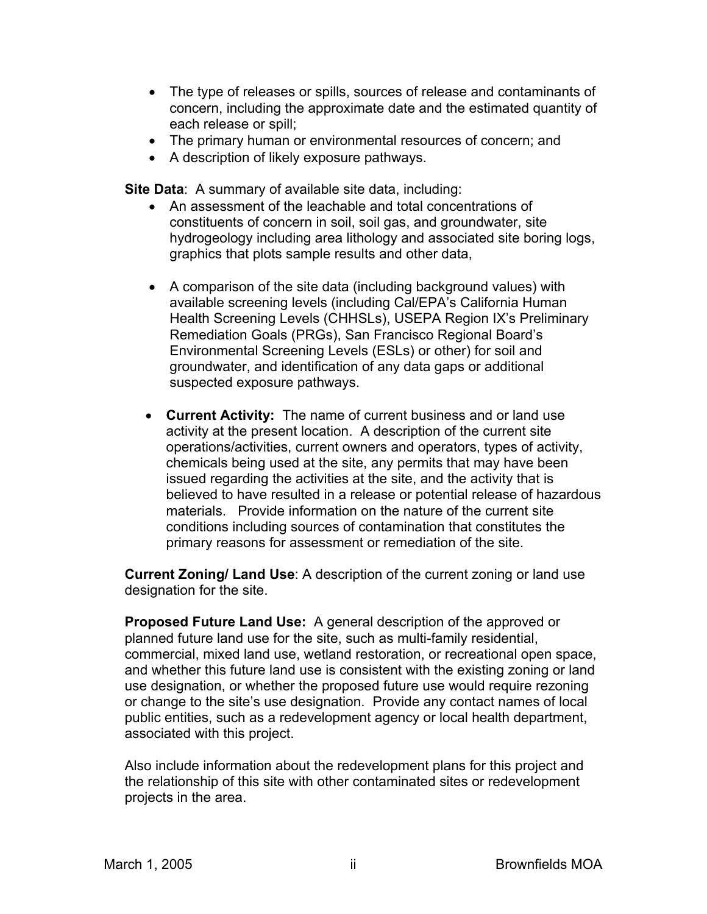- The type of releases or spills, sources of release and contaminants of concern, including the approximate date and the estimated quantity of each release or spill;
- The primary human or environmental resources of concern; and
- A description of likely exposure pathways.

**Site Data**: A summary of available site data, including:

- An assessment of the leachable and total concentrations of constituents of concern in soil, soil gas, and groundwater, site hydrogeology including area lithology and associated site boring logs, graphics that plots sample results and other data,
- A comparison of the site data (including background values) with available screening levels (including Cal/EPA's California Human Health Screening Levels (CHHSLs), USEPA Region IX's Preliminary Remediation Goals (PRGs), San Francisco Regional Board's Environmental Screening Levels (ESLs) or other) for soil and groundwater, and identification of any data gaps or additional suspected exposure pathways.
- **Current Activity:** The name of current business and or land use activity at the present location. A description of the current site operations/activities, current owners and operators, types of activity, chemicals being used at the site, any permits that may have been issued regarding the activities at the site, and the activity that is believed to have resulted in a release or potential release of hazardous materials. Provide information on the nature of the current site conditions including sources of contamination that constitutes the primary reasons for assessment or remediation of the site.

**Current Zoning/ Land Use**: A description of the current zoning or land use designation for the site.

**Proposed Future Land Use:** A general description of the approved or planned future land use for the site, such as multi-family residential, commercial, mixed land use, wetland restoration, or recreational open space, and whether this future land use is consistent with the existing zoning or land use designation, or whether the proposed future use would require rezoning or change to the site's use designation. Provide any contact names of local public entities, such as a redevelopment agency or local health department, associated with this project.

Also include information about the redevelopment plans for this project and the relationship of this site with other contaminated sites or redevelopment projects in the area.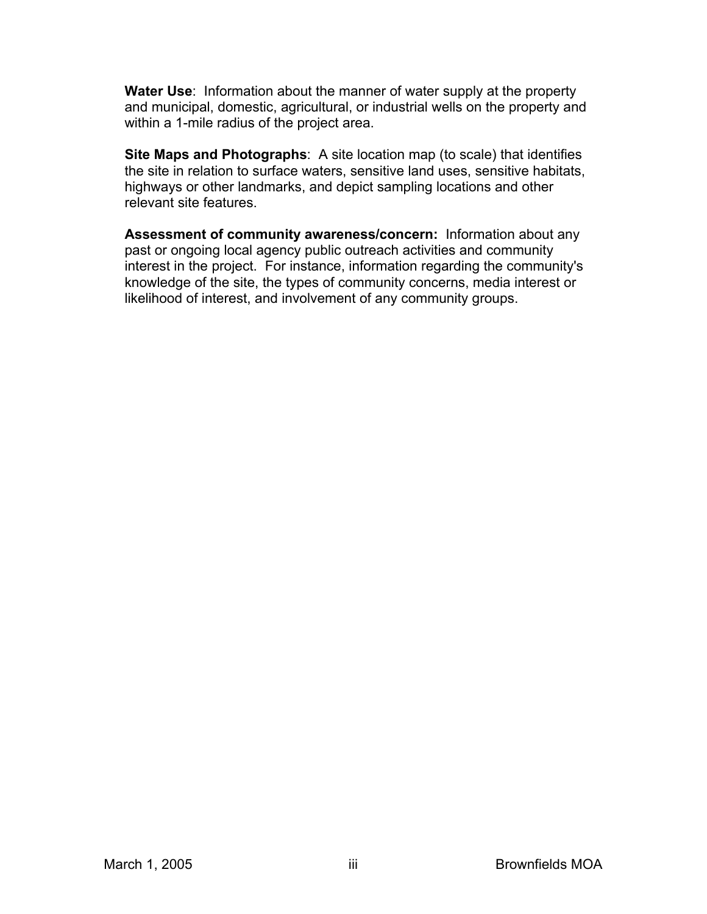**Water Use**: Information about the manner of water supply at the property and municipal, domestic, agricultural, or industrial wells on the property and within a 1-mile radius of the project area.

**Site Maps and Photographs**: A site location map (to scale) that identifies the site in relation to surface waters, sensitive land uses, sensitive habitats, highways or other landmarks, and depict sampling locations and other relevant site features.

**Assessment of community awareness/concern:** Information about any past or ongoing local agency public outreach activities and community interest in the project. For instance, information regarding the community's knowledge of the site, the types of community concerns, media interest or likelihood of interest, and involvement of any community groups.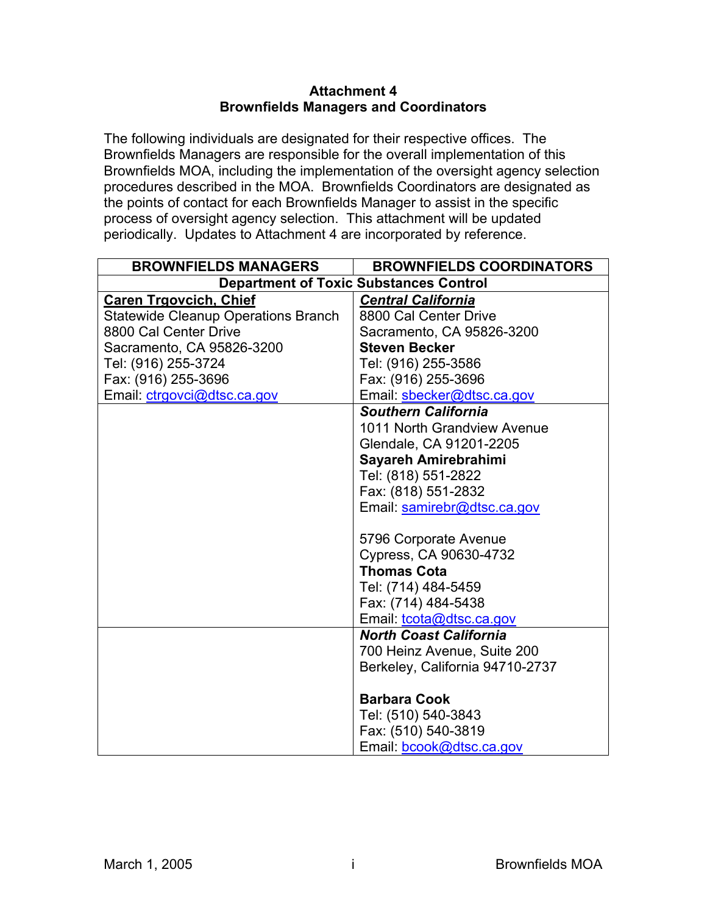### **Attachment 4 Brownfields Managers and Coordinators**

The following individuals are designated for their respective offices. The Brownfields Managers are responsible for the overall implementation of this Brownfields MOA, including the implementation of the oversight agency selection procedures described in the MOA. Brownfields Coordinators are designated as the points of contact for each Brownfields Manager to assist in the specific process of oversight agency selection. This attachment will be updated periodically. Updates to Attachment 4 are incorporated by reference.

| <b>BROWNFIELDS MANAGERS</b>                   | <b>BROWNFIELDS COORDINATORS</b> |  |
|-----------------------------------------------|---------------------------------|--|
| <b>Department of Toxic Substances Control</b> |                                 |  |
| <b>Caren Trgovcich, Chief</b>                 | <b>Central California</b>       |  |
| <b>Statewide Cleanup Operations Branch</b>    | 8800 Cal Center Drive           |  |
| 8800 Cal Center Drive                         | Sacramento, CA 95826-3200       |  |
| Sacramento, CA 95826-3200                     | <b>Steven Becker</b>            |  |
| Tel: (916) 255-3724                           | Tel: (916) 255-3586             |  |
| Fax: (916) 255-3696                           | Fax: (916) 255-3696             |  |
| Email: ctrgovci@dtsc.ca.gov                   | Email: sbecker@dtsc.ca.gov      |  |
|                                               | <b>Southern California</b>      |  |
|                                               | 1011 North Grandview Avenue     |  |
|                                               | Glendale, CA 91201-2205         |  |
|                                               | Sayareh Amirebrahimi            |  |
|                                               | Tel: (818) 551-2822             |  |
|                                               | Fax: (818) 551-2832             |  |
|                                               | Email: samirebr@dtsc.ca.gov     |  |
|                                               |                                 |  |
|                                               | 5796 Corporate Avenue           |  |
|                                               | Cypress, CA 90630-4732          |  |
|                                               | <b>Thomas Cota</b>              |  |
|                                               | Tel: (714) 484-5459             |  |
|                                               | Fax: (714) 484-5438             |  |
|                                               | Email: tcota@dtsc.ca.gov        |  |
|                                               | <b>North Coast California</b>   |  |
|                                               | 700 Heinz Avenue, Suite 200     |  |
|                                               | Berkeley, California 94710-2737 |  |
|                                               |                                 |  |
|                                               | <b>Barbara Cook</b>             |  |
|                                               | Tel: (510) 540-3843             |  |
|                                               | Fax: (510) 540-3819             |  |
|                                               | Email: bcook@dtsc.ca.gov        |  |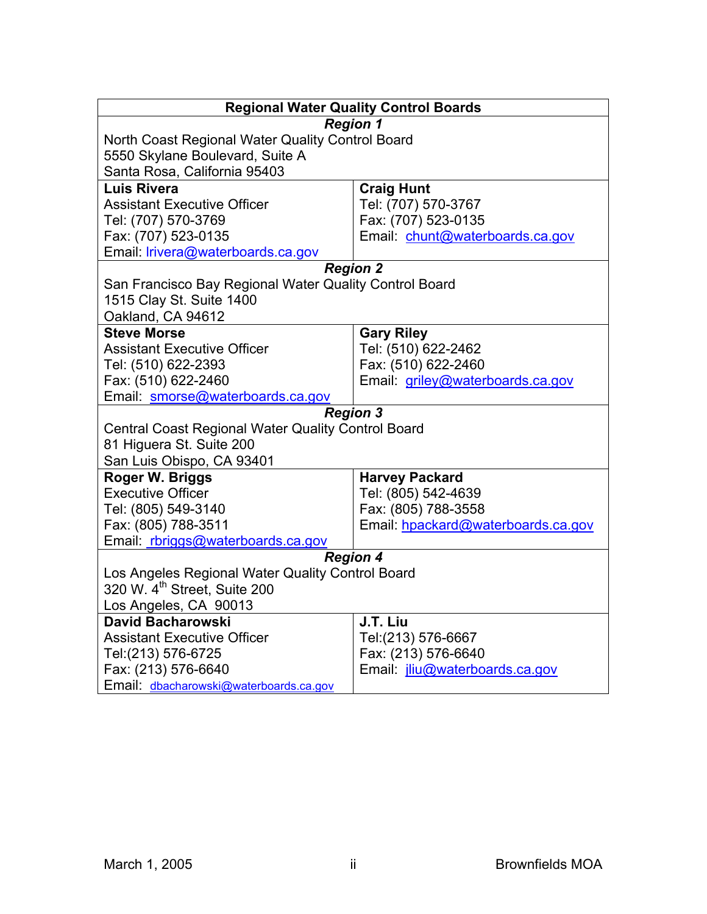|                                                        | <b>Regional Water Quality Control Boards</b> |  |
|--------------------------------------------------------|----------------------------------------------|--|
|                                                        | <b>Region 1</b>                              |  |
| North Coast Regional Water Quality Control Board       |                                              |  |
| 5550 Skylane Boulevard, Suite A                        |                                              |  |
| Santa Rosa, California 95403                           |                                              |  |
| <b>Luis Rivera</b>                                     | <b>Craig Hunt</b>                            |  |
| <b>Assistant Executive Officer</b>                     | Tel: (707) 570-3767                          |  |
| Tel: (707) 570-3769                                    | Fax: (707) 523-0135                          |  |
| Fax: (707) 523-0135                                    | Email chunt@waterboards.ca.gov               |  |
| Email: lrivera@waterboards.ca.gov                      |                                              |  |
|                                                        | <b>Region 2</b>                              |  |
| San Francisco Bay Regional Water Quality Control Board |                                              |  |
| 1515 Clay St. Suite 1400                               |                                              |  |
| Oakland, CA 94612                                      |                                              |  |
| <b>Steve Morse</b>                                     | <b>Gary Riley</b>                            |  |
| <b>Assistant Executive Officer</b>                     | Tel: (510) 622-2462                          |  |
| Tel: (510) 622-2393                                    | Fax: (510) 622-2460                          |  |
| Fax: (510) 622-2460                                    | Email: griley@waterboards.ca.gov             |  |
| Email: smorse@waterboards.ca.gov                       |                                              |  |
|                                                        | <b>Region 3</b>                              |  |
| Central Coast Regional Water Quality Control Board     |                                              |  |
| 81 Higuera St. Suite 200                               |                                              |  |
| San Luis Obispo, CA 93401                              |                                              |  |
| Roger W. Briggs                                        | <b>Harvey Packard</b>                        |  |
| <b>Executive Officer</b>                               | Tel: (805) 542-4639                          |  |
| Tel: (805) 549-3140                                    | Fax: (805) 788-3558                          |  |
| Fax: (805) 788-3511                                    | Email: hpackard@waterboards.ca.gov           |  |
| Email rbriggs@waterboards.ca.gov                       |                                              |  |
| <b>Region 4</b>                                        |                                              |  |
| Los Angeles Regional Water Quality Control Board       |                                              |  |
| 320 W. 4 <sup>th</sup> Street, Suite 200               |                                              |  |
| Los Angeles, CA 90013                                  |                                              |  |
| David Bacharowski                                      | J.T. Liu                                     |  |
| <b>Assistant Executive Officer</b>                     | Tel:(213) 576-6667                           |  |
| Tel:(213) 576-6725                                     | Fax: (213) 576-6640                          |  |
| Fax: (213) 576-6640                                    | Email <i>jliu@waterboards.ca.gov</i>         |  |
| Email dbacharowski@waterboards.ca.gov                  |                                              |  |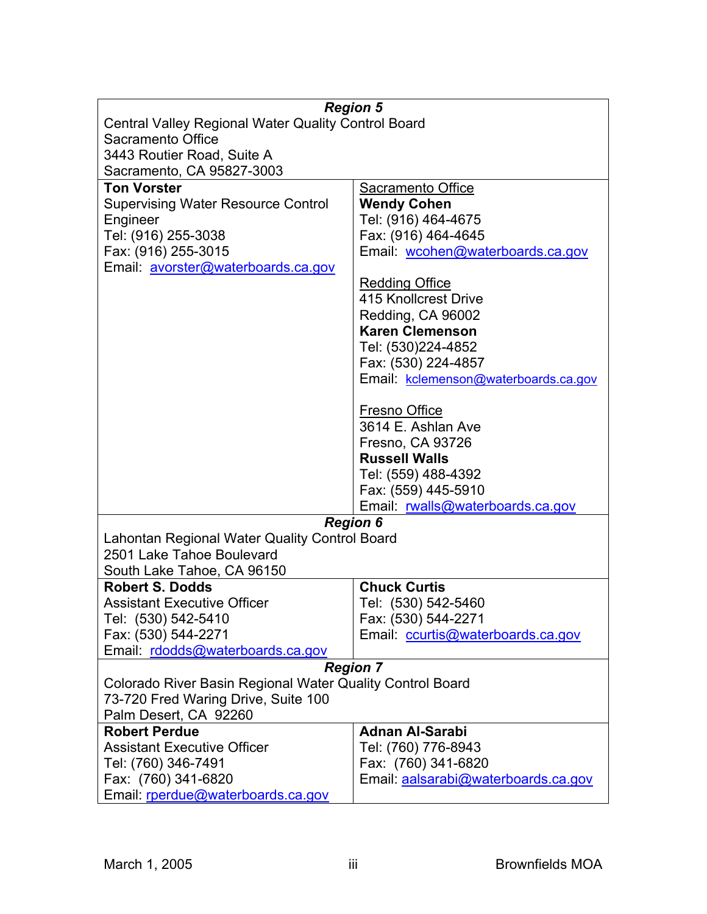|                                                              | <b>Region 5</b>                      |  |
|--------------------------------------------------------------|--------------------------------------|--|
| <b>Central Valley Regional Water Quality Control Board</b>   |                                      |  |
| Sacramento Office                                            |                                      |  |
| 3443 Routier Road, Suite A                                   |                                      |  |
| Sacramento, CA 95827-3003                                    |                                      |  |
| <b>Ton Vorster</b>                                           | Sacramento Office                    |  |
| <b>Supervising Water Resource Control</b>                    | <b>Wendy Cohen</b>                   |  |
| Engineer                                                     | Tel: (916) 464-4675                  |  |
| Tel: (916) 255-3038                                          | Fax: (916) 464-4645                  |  |
|                                                              | Email: wcohen@waterboards.ca.gov     |  |
| Fax: (916) 255-3015                                          |                                      |  |
| Email: avorster@waterboards.ca.gov                           |                                      |  |
|                                                              | <b>Redding Office</b>                |  |
|                                                              | 415 Knollcrest Drive                 |  |
|                                                              | Redding, CA 96002                    |  |
|                                                              | <b>Karen Clemenson</b>               |  |
|                                                              | Tel: (530)224-4852                   |  |
|                                                              | Fax: (530) 224-4857                  |  |
|                                                              | Email: kclemenson@waterboards.ca.gov |  |
|                                                              | Fresno Office                        |  |
|                                                              | 3614 E. Ashlan Ave                   |  |
|                                                              | Fresno, CA 93726                     |  |
|                                                              | <b>Russell Walls</b>                 |  |
|                                                              | Tel: (559) 488-4392                  |  |
|                                                              | Fax: (559) 445-5910                  |  |
|                                                              | Email: rwalls@waterboards.ca.gov     |  |
|                                                              | <b>Region 6</b>                      |  |
| Lahontan Regional Water Quality Control Board                |                                      |  |
| 2501 Lake Tahoe Boulevard                                    |                                      |  |
| South Lake Tahoe, CA 96150                                   |                                      |  |
| <b>Robert S. Dodds</b>                                       | <b>Chuck Curtis</b>                  |  |
| <b>Assistant Executive Officer</b>                           | Tel: (530) 542-5460                  |  |
| Tel: (530) 542-5410                                          | Fax: (530) 544-2271                  |  |
| Fax: (530) 544-2271                                          | Email: ccurtis@waterboards.ca.gov    |  |
| Email: rdodds@waterboards.ca.gov                             |                                      |  |
|                                                              | <b>Region 7</b>                      |  |
|                                                              |                                      |  |
| Colorado River Basin Regional Water Quality Control Board    |                                      |  |
| 73-720 Fred Waring Drive, Suite 100<br>Palm Desert, CA 92260 |                                      |  |
| <b>Robert Perdue</b>                                         | <b>Adnan Al-Sarabi</b>               |  |
| <b>Assistant Executive Officer</b>                           | Tel: (760) 776-8943                  |  |
| Tel: (760) 346-7491                                          | Fax: (760) 341-6820                  |  |
|                                                              |                                      |  |
|                                                              |                                      |  |
| Fax: (760) 341-6820<br>Email: rperdue@waterboards.ca.gov     | Email: aalsarabi@waterboards.ca.gov  |  |